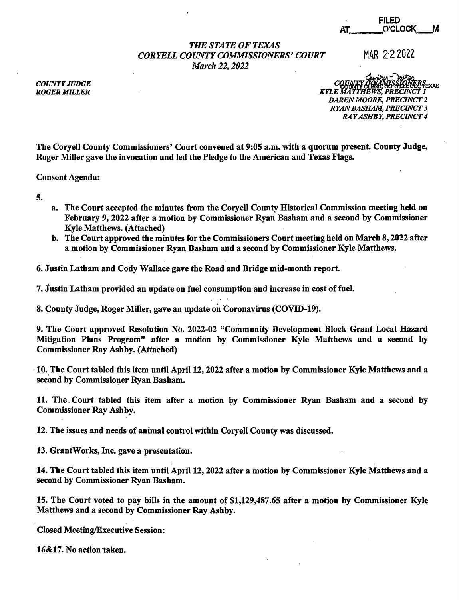|    | <b>FILED</b> |  |
|----|--------------|--|
| AT | O'CLOCK      |  |

## *THE STATE OF TEXAS CORYELL COUNTY COMMISSIONERS' COURT* MAR 222022 *March 22, 2022*

*COUNTY JUDGE ROGER MILLER* 

chwiter Tourton<br>CQUARTY CLENG CORTLELL CO. TEXAS *.KYLE mmik~ffl~lcr 1 DAREN MOORE, PRECINCT* 2 *RYAN BASHAM, PRECINCT* 3 *RAY ASHBY, PRECINCT 4* 

The Coryell County Commissioners' Court convened at 9:05 a.m. with a quorum present. County Judge, Roger Miller gave the invocation and led the Pledge to the American and Texas Flags. ·

Consent Agenda:

5.

- a. The Court accepted the minutes from the Coryell County Historical Commission meeting held on February 9, 2022 after a motion by Commissioner Ryan Basham and a second by Commissioner Kyle Matthews. (Attached)
- b. The Court approved the minutes for the Commissioners Court meeting held on March 8, 2022 after a motion by Commissioner Ryan Basham and a second by Commissioner Kyle Matthews.
- 6. Justin Latham and Cody Wallace gave the Road and Bridge mid-month report.

7. Justin Latham provided an update on fuel consumption and increase in cost of fuel.

8. County Judge, Roger Miller, gave an update on Coronavirus (COVID-19).

9. The Court approved Resolution No. 2022-02 "Community Development Block Grant Local Hazard Mitigation Plans Program" after a motion by Commissioner Kyle Matthews and a second by Commissioner Ray Ashby. (Attached)

· 10.\_The Court tabled this item until April 12, 2022 after a motion by Commissioner Kyle Matthews and a second by Commissioner Ryan Basham.

11. The. Court tabled this item after a motion by Commissioner Ryan Basham and a second by Commissioner Ray Ashby.

12. The issues and needs of animal control within Coryell County was discussed.

13. GrantWorks, Inc. gave a presentation.

14. The Court tabled this item until April 12, 2022 after a motion by Commissioner Kyle Matthews and a second by Commissioner Ryan Basham.

. .

15. The Court voted to pay bills in the amount of \$1,129,487.65 after a motion by Commissioner Kyle Matthews and a second by Commissioner Ray Ashby.

Closed Meeting/Executive Session:

16&17. No action taken.